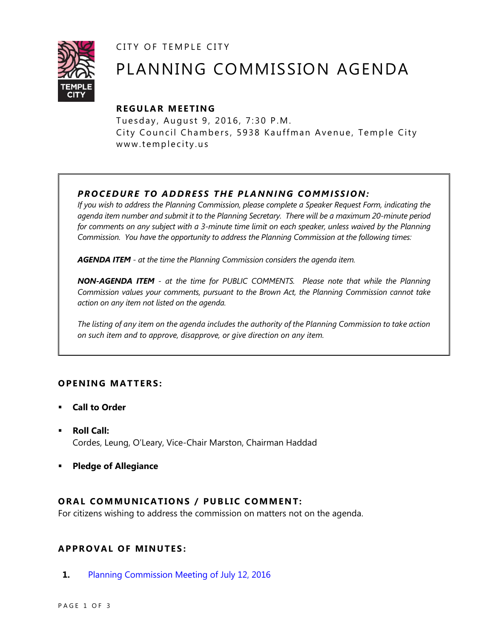CITY OF TEMPLE CITY



# PLANNING COMMISSION AGENDA

## **R EGULA R MEE TING**

Tuesday, August 9, 2016, 7:30 P.M. City Council Chambers, 5938 Kauffman Avenue, Temple City www.templecity.us

### *PRO CE DURE TO ADDRE SS THE P LA NNI NG COMM I SSION:*

*If you wish to address the Planning Commission, please complete a Speaker Request Form, indicating the agenda item number and submit it to the Planning Secretary. There will be a maximum 20-minute period*  for comments on any subject with a 3-minute time limit on each speaker, unless waived by the Planning *Commission. You have the opportunity to address the Planning Commission at the following times:*

*AGENDA ITEM - at the time the Planning Commission considers the agenda item.*

*NON-AGENDA ITEM - at the time for PUBLIC COMMENTS. Please note that while the Planning Commission values your comments, pursuant to the Brown Act, the Planning Commission cannot take action on any item not listed on the agenda.*

*The listing of any item on the agenda includes the authority of the Planning Commission to take action on such item and to approve, disapprove, or give direction on any item.*

### **OPEN ING MAT TERS :**

- **Call to Order**
- **Roll Call:** Cordes, Leung, O'Leary, Vice-Chair Marston, Chairman Haddad
- **Pledge of Allegiance**

### **ORAL COMMUNICATIONS / PUBLIC COMMENT:**

For citizens wishing to address the commission on matters not on the agenda.

### **APPRO VAL OF MINUTES :**

**1.** [Planning Commission Meeting of July 12,](http://ca-templecity.civicplus.com/DocumentCenter/View/6359) 2016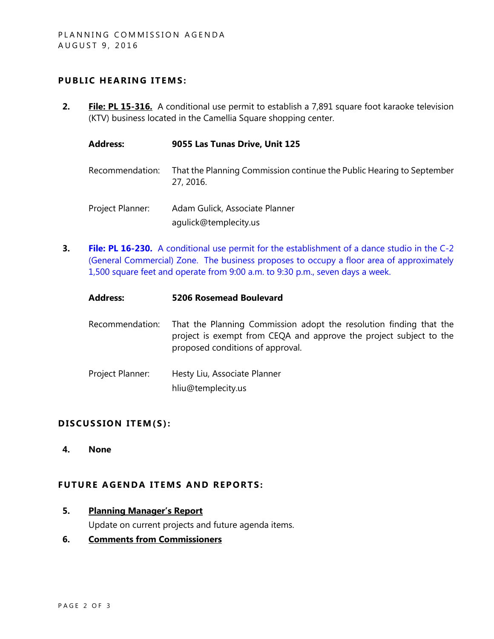### **PUBLIC HEARING ITEMS:**

**2. File: PL 15-316.** A conditional use permit to establish a 7,891 square foot karaoke television (KTV) business located in the Camellia Square shopping center.

| <b>Address:</b>  | 9055 Las Tunas Drive, Unit 125                                                     |
|------------------|------------------------------------------------------------------------------------|
| Recommendation:  | That the Planning Commission continue the Public Hearing to September<br>27, 2016. |
| Project Planner: | Adam Gulick, Associate Planner<br>agulick@templecity.us                            |

**3. File: PL 16-230.** A conditional use permit for the establishment of a dance studio in the C-2 [\(General Commercial\) Zone. The business proposes to occupy a floor area of approximately](http://ca-templecity.civicplus.com/DocumentCenter/View/6362)  [1,500 square feet and operate from 9:00 a.m. to 9:30](http://ca-templecity.civicplus.com/DocumentCenter/View/6362) p.m., seven days a week.

| <b>Address:</b>  | <b>5206 Rosemead Boulevard</b>                                                                                                                                               |
|------------------|------------------------------------------------------------------------------------------------------------------------------------------------------------------------------|
| Recommendation:  | That the Planning Commission adopt the resolution finding that the<br>project is exempt from CEQA and approve the project subject to the<br>proposed conditions of approval. |
| Project Planner: | Hesty Liu, Associate Planner<br>hliu@templecity.us                                                                                                                           |

### DISCUSSION ITEM(S):

**4. None**

### **FUTURE AGENDA ITEMS AND REPORTS:**

**5. Planning Manager's Report**

Update on current projects and future agenda items.

**6. Comments from Commissioners**